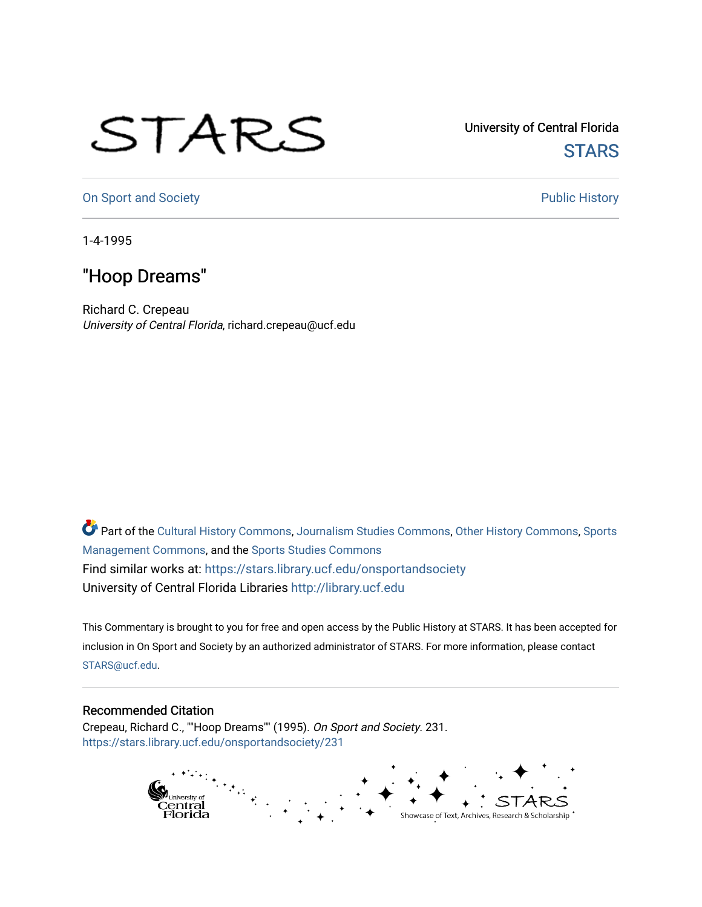## STARS

University of Central Florida **STARS** 

[On Sport and Society](https://stars.library.ucf.edu/onsportandsociety) **Public History** Public History

1-4-1995

## "Hoop Dreams"

Richard C. Crepeau University of Central Florida, richard.crepeau@ucf.edu

Part of the [Cultural History Commons](http://network.bepress.com/hgg/discipline/496?utm_source=stars.library.ucf.edu%2Fonsportandsociety%2F231&utm_medium=PDF&utm_campaign=PDFCoverPages), [Journalism Studies Commons,](http://network.bepress.com/hgg/discipline/333?utm_source=stars.library.ucf.edu%2Fonsportandsociety%2F231&utm_medium=PDF&utm_campaign=PDFCoverPages) [Other History Commons,](http://network.bepress.com/hgg/discipline/508?utm_source=stars.library.ucf.edu%2Fonsportandsociety%2F231&utm_medium=PDF&utm_campaign=PDFCoverPages) [Sports](http://network.bepress.com/hgg/discipline/1193?utm_source=stars.library.ucf.edu%2Fonsportandsociety%2F231&utm_medium=PDF&utm_campaign=PDFCoverPages) [Management Commons](http://network.bepress.com/hgg/discipline/1193?utm_source=stars.library.ucf.edu%2Fonsportandsociety%2F231&utm_medium=PDF&utm_campaign=PDFCoverPages), and the [Sports Studies Commons](http://network.bepress.com/hgg/discipline/1198?utm_source=stars.library.ucf.edu%2Fonsportandsociety%2F231&utm_medium=PDF&utm_campaign=PDFCoverPages) Find similar works at: <https://stars.library.ucf.edu/onsportandsociety> University of Central Florida Libraries [http://library.ucf.edu](http://library.ucf.edu/) 

This Commentary is brought to you for free and open access by the Public History at STARS. It has been accepted for inclusion in On Sport and Society by an authorized administrator of STARS. For more information, please contact [STARS@ucf.edu](mailto:STARS@ucf.edu).

## Recommended Citation

Crepeau, Richard C., ""Hoop Dreams"" (1995). On Sport and Society. 231. [https://stars.library.ucf.edu/onsportandsociety/231](https://stars.library.ucf.edu/onsportandsociety/231?utm_source=stars.library.ucf.edu%2Fonsportandsociety%2F231&utm_medium=PDF&utm_campaign=PDFCoverPages)

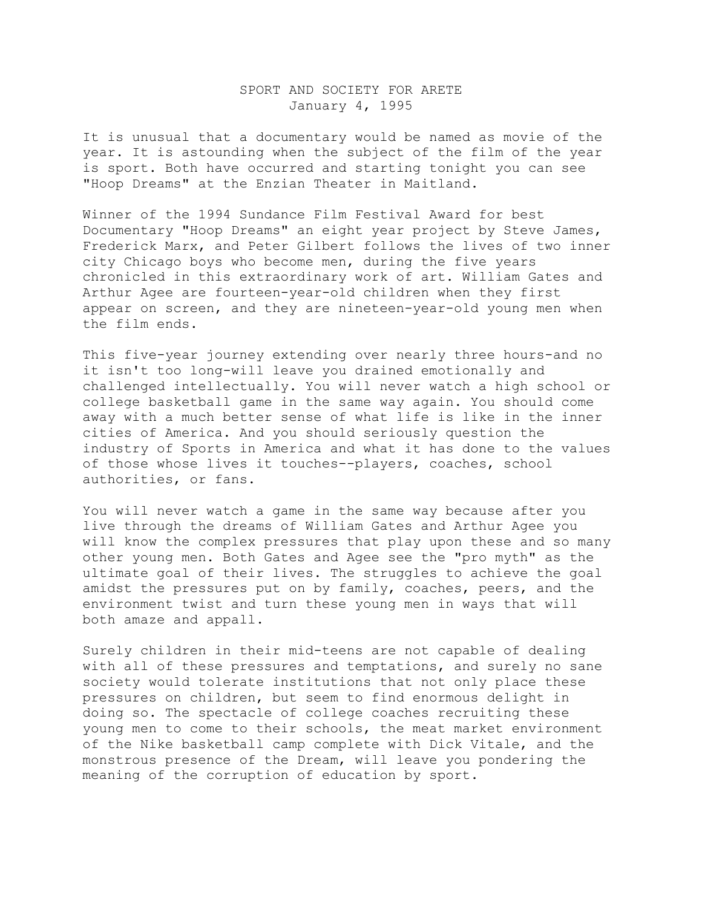## SPORT AND SOCIETY FOR ARETE January 4, 1995

It is unusual that a documentary would be named as movie of the year. It is astounding when the subject of the film of the year is sport. Both have occurred and starting tonight you can see "Hoop Dreams" at the Enzian Theater in Maitland.

Winner of the 1994 Sundance Film Festival Award for best Documentary "Hoop Dreams" an eight year project by Steve James, Frederick Marx, and Peter Gilbert follows the lives of two inner city Chicago boys who become men, during the five years chronicled in this extraordinary work of art. William Gates and Arthur Agee are fourteen-year-old children when they first appear on screen, and they are nineteen-year-old young men when the film ends.

This five-year journey extending over nearly three hours-and no it isn't too long-will leave you drained emotionally and challenged intellectually. You will never watch a high school or college basketball game in the same way again. You should come away with a much better sense of what life is like in the inner cities of America. And you should seriously question the industry of Sports in America and what it has done to the values of those whose lives it touches--players, coaches, school authorities, or fans.

You will never watch a game in the same way because after you live through the dreams of William Gates and Arthur Agee you will know the complex pressures that play upon these and so many other young men. Both Gates and Agee see the "pro myth" as the ultimate goal of their lives. The struggles to achieve the goal amidst the pressures put on by family, coaches, peers, and the environment twist and turn these young men in ways that will both amaze and appall.

Surely children in their mid-teens are not capable of dealing with all of these pressures and temptations, and surely no sane society would tolerate institutions that not only place these pressures on children, but seem to find enormous delight in doing so. The spectacle of college coaches recruiting these young men to come to their schools, the meat market environment of the Nike basketball camp complete with Dick Vitale, and the monstrous presence of the Dream, will leave you pondering the meaning of the corruption of education by sport.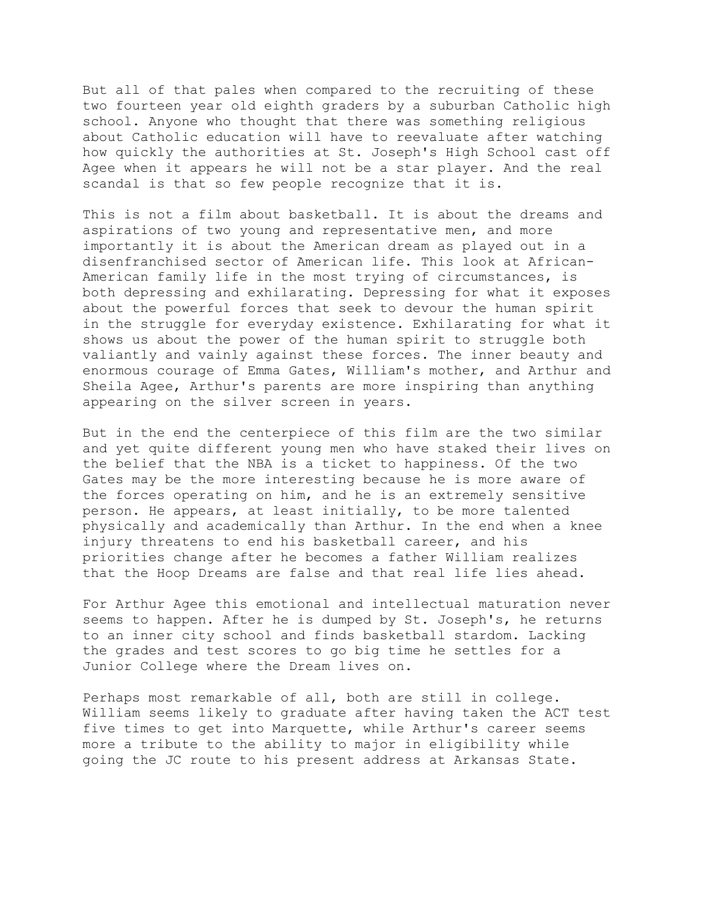But all of that pales when compared to the recruiting of these two fourteen year old eighth graders by a suburban Catholic high school. Anyone who thought that there was something religious about Catholic education will have to reevaluate after watching how quickly the authorities at St. Joseph's High School cast off Agee when it appears he will not be a star player. And the real scandal is that so few people recognize that it is.

This is not a film about basketball. It is about the dreams and aspirations of two young and representative men, and more importantly it is about the American dream as played out in a disenfranchised sector of American life. This look at African-American family life in the most trying of circumstances, is both depressing and exhilarating. Depressing for what it exposes about the powerful forces that seek to devour the human spirit in the struggle for everyday existence. Exhilarating for what it shows us about the power of the human spirit to struggle both valiantly and vainly against these forces. The inner beauty and enormous courage of Emma Gates, William's mother, and Arthur and Sheila Agee, Arthur's parents are more inspiring than anything appearing on the silver screen in years.

But in the end the centerpiece of this film are the two similar and yet quite different young men who have staked their lives on the belief that the NBA is a ticket to happiness. Of the two Gates may be the more interesting because he is more aware of the forces operating on him, and he is an extremely sensitive person. He appears, at least initially, to be more talented physically and academically than Arthur. In the end when a knee injury threatens to end his basketball career, and his priorities change after he becomes a father William realizes that the Hoop Dreams are false and that real life lies ahead.

For Arthur Agee this emotional and intellectual maturation never seems to happen. After he is dumped by St. Joseph's, he returns to an inner city school and finds basketball stardom. Lacking the grades and test scores to go big time he settles for a Junior College where the Dream lives on.

Perhaps most remarkable of all, both are still in college. William seems likely to graduate after having taken the ACT test five times to get into Marquette, while Arthur's career seems more a tribute to the ability to major in eligibility while going the JC route to his present address at Arkansas State.